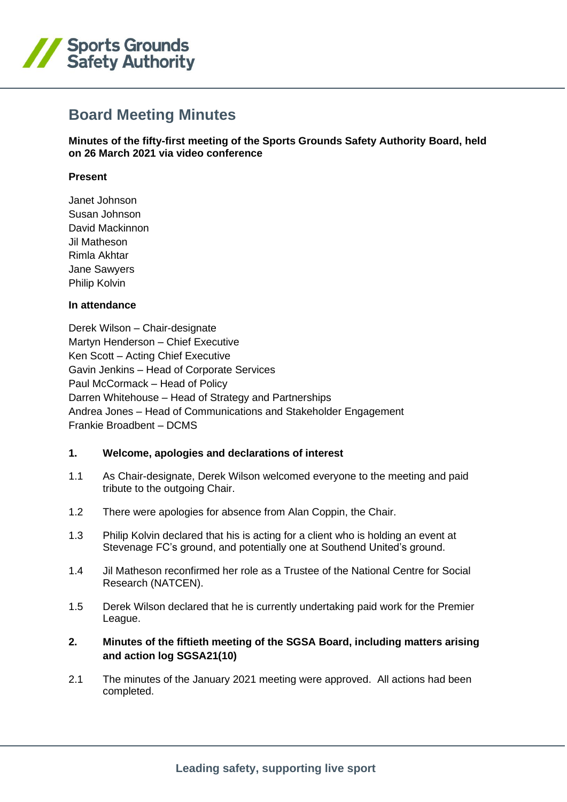

# **Board Meeting Minutes**

**Minutes of the fifty-first meeting of the Sports Grounds Safety Authority Board, held on 26 March 2021 via video conference**

#### **Present**

Janet Johnson Susan Johnson David Mackinnon Jil Matheson Rimla Akhtar Jane Sawyers Philip Kolvin

#### **In attendance**

Derek Wilson – Chair-designate Martyn Henderson – Chief Executive Ken Scott – Acting Chief Executive Gavin Jenkins – Head of Corporate Services Paul McCormack – Head of Policy Darren Whitehouse – Head of Strategy and Partnerships Andrea Jones – Head of Communications and Stakeholder Engagement Frankie Broadbent – DCMS

## **1. Welcome, apologies and declarations of interest**

- 1.1 As Chair-designate, Derek Wilson welcomed everyone to the meeting and paid tribute to the outgoing Chair.
- 1.2 There were apologies for absence from Alan Coppin, the Chair.
- 1.3 Philip Kolvin declared that his is acting for a client who is holding an event at Stevenage FC's ground, and potentially one at Southend United's ground.
- 1.4 Jil Matheson reconfirmed her role as a Trustee of the National Centre for Social Research (NATCEN).
- 1.5 Derek Wilson declared that he is currently undertaking paid work for the Premier League.
- **2. Minutes of the fiftieth meeting of the SGSA Board, including matters arising and action log SGSA21(10)**
- 2.1 The minutes of the January 2021 meeting were approved. All actions had been completed.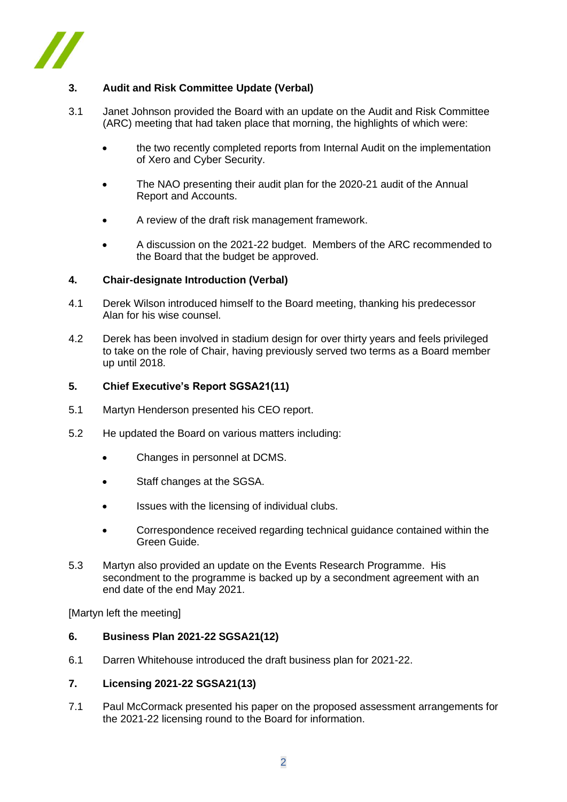

# **3. Audit and Risk Committee Update (Verbal)**

- 3.1 Janet Johnson provided the Board with an update on the Audit and Risk Committee (ARC) meeting that had taken place that morning, the highlights of which were:
	- the two recently completed reports from Internal Audit on the implementation of Xero and Cyber Security.
	- The NAO presenting their audit plan for the 2020-21 audit of the Annual Report and Accounts.
	- A review of the draft risk management framework.
	- A discussion on the 2021-22 budget. Members of the ARC recommended to the Board that the budget be approved.

#### **4. Chair-designate Introduction (Verbal)**

- 4.1 Derek Wilson introduced himself to the Board meeting, thanking his predecessor Alan for his wise counsel.
- 4.2 Derek has been involved in stadium design for over thirty years and feels privileged to take on the role of Chair, having previously served two terms as a Board member up until 2018.

#### **5. Chief Executive's Report SGSA21(11)**

- 5.1 Martyn Henderson presented his CEO report.
- 5.2 He updated the Board on various matters including:
	- Changes in personnel at DCMS.
	- Staff changes at the SGSA.
	- Issues with the licensing of individual clubs.
	- Correspondence received regarding technical guidance contained within the Green Guide.
- 5.3 Martyn also provided an update on the Events Research Programme. His secondment to the programme is backed up by a secondment agreement with an end date of the end May 2021.

[Martyn left the meeting]

#### **6. Business Plan 2021-22 SGSA21(12)**

6.1 Darren Whitehouse introduced the draft business plan for 2021-22.

## **7. Licensing 2021-22 SGSA21(13)**

7.1 Paul McCormack presented his paper on the proposed assessment arrangements for the 2021-22 licensing round to the Board for information.